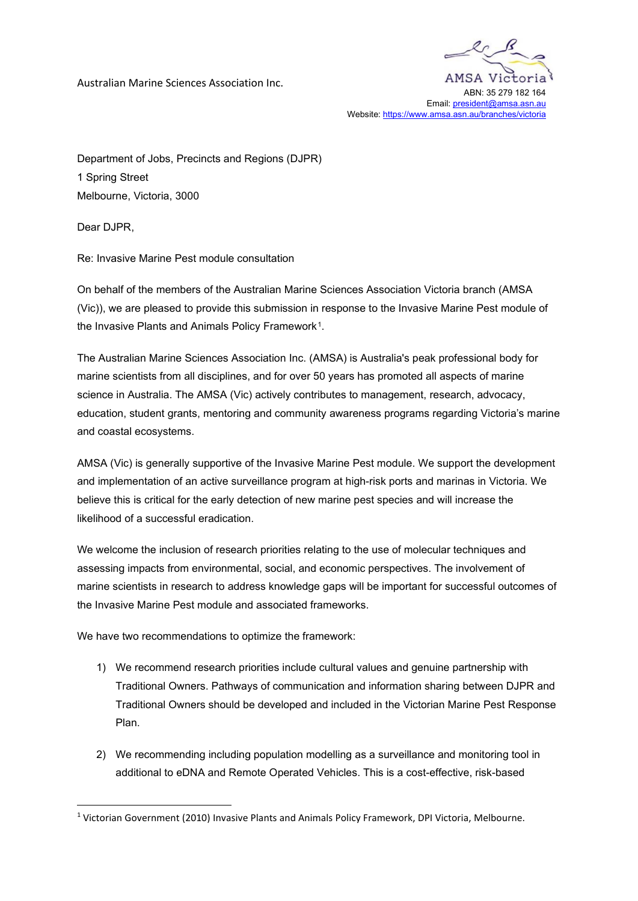Australian Marine Sciences Association Inc.



Email: [president@amsa.asn.au](mailto:president@amsa.asn.au) Website: https://www.amsa.asn.au/branches/victoria

Department of Jobs, Precincts and Regions (DJPR) 1 Spring Street Melbourne, Victoria, 3000

Dear DJPR,

Re: Invasive Marine Pest module consultation

On behalf of the members of the Australian Marine Sciences Association Victoria branch (AMSA (Vic)), we are pleased to provide this submission in response to the Invasive Marine Pest module of the Invasive Plants and Animals Policy Framework<sup>[1](#page-0-0)</sup>.

The Australian Marine Sciences Association Inc. (AMSA) is Australia's peak professional body for marine scientists from all disciplines, and for over 50 years has promoted all aspects of marine science in Australia. The AMSA (Vic) actively contributes to management, research, advocacy, education, student grants, mentoring and community awareness programs regarding Victoria's marine and coastal ecosystems.

AMSA (Vic) is generally supportive of the Invasive Marine Pest module. We support the development and implementation of an active surveillance program at high-risk ports and marinas in Victoria. We believe this is critical for the early detection of new marine pest species and will increase the likelihood of a successful eradication.

We welcome the inclusion of research priorities relating to the use of molecular techniques and assessing impacts from environmental, social, and economic perspectives. The involvement of marine scientists in research to address knowledge gaps will be important for successful outcomes of the Invasive Marine Pest module and associated frameworks.

We have two recommendations to optimize the framework:

- 1) We recommend research priorities include cultural values and genuine partnership with Traditional Owners. Pathways of communication and information sharing between DJPR and Traditional Owners should be developed and included in the Victorian Marine Pest Response Plan.
- 2) We recommending including population modelling as a surveillance and monitoring tool in additional to eDNA and Remote Operated Vehicles. This is a cost-effective, risk-based

<span id="page-0-0"></span><sup>1</sup> Victorian Government (2010) Invasive Plants and Animals Policy Framework, DPI Victoria, Melbourne.